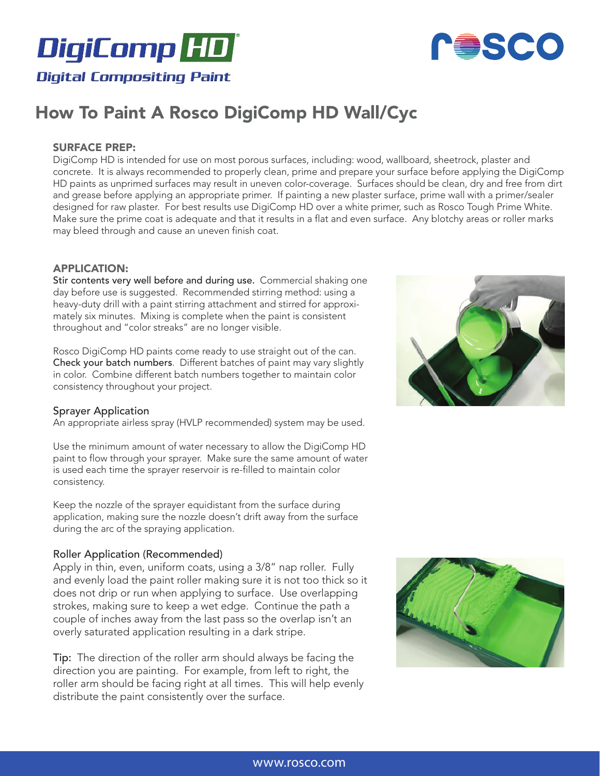



# How To Paint A Rosco DigiComp HD Wall/Cyc

## SURFACE PREP:

DigiComp HD is intended for use on most porous surfaces, including: wood, wallboard, sheetrock, plaster and concrete. It is always recommended to properly clean, prime and prepare your surface before applying the DigiComp HD paints as unprimed surfaces may result in uneven color-coverage. Surfaces should be clean, dry and free from dirt and grease before applying an appropriate primer. If painting a new plaster surface, prime wall with a primer/sealer designed for raw plaster. For best results use DigiComp HD over a white primer, such as Rosco Tough Prime White. Make sure the prime coat is adequate and that it results in a flat and even surface. Any blotchy areas or roller marks may bleed through and cause an uneven finish coat.

#### APPLICATION:

Stir contents very well before and during use. Commercial shaking one day before use is suggested. Recommended stirring method: using a heavy-duty drill with a paint stirring attachment and stirred for approximately six minutes. Mixing is complete when the paint is consistent throughout and "color streaks" are no longer visible.

Rosco DigiComp HD paints come ready to use straight out of the can. Check your batch numbers. Different batches of paint may vary slightly in color. Combine different batch numbers together to maintain color consistency throughout your project.

#### Sprayer Application

An appropriate airless spray (HVLP recommended) system may be used.

Use the minimum amount of water necessary to allow the DigiComp HD paint to flow through your sprayer. Make sure the same amount of water is used each time the sprayer reservoir is re-filled to maintain color consistency.

Keep the nozzle of the sprayer equidistant from the surface during application, making sure the nozzle doesn't drift away from the surface during the arc of the spraying application.

#### Roller Application (Recommended)

Apply in thin, even, uniform coats, using a 3/8" nap roller. Fully and evenly load the paint roller making sure it is not too thick so it does not drip or run when applying to surface. Use overlapping strokes, making sure to keep a wet edge. Continue the path a couple of inches away from the last pass so the overlap isn't an overly saturated application resulting in a dark stripe.

Tip: The direction of the roller arm should always be facing the direction you are painting. For example, from left to right, the roller arm should be facing right at all times. This will help evenly distribute the paint consistently over the surface.